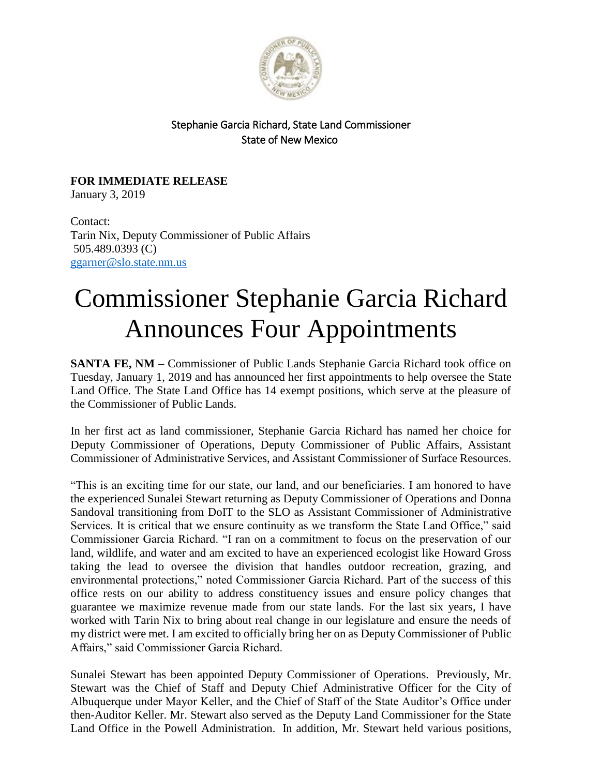

## Stephanie Garcia Richard, State Land Commissioner State of New Mexico

**FOR IMMEDIATE RELEASE** January 3, 2019

Contact: Tarin Nix, Deputy Commissioner of Public Affairs 505.489.0393 (C) [ggarner@slo.state.nm.us](mailto:ggarner@slo.state.nm.us)

## Commissioner Stephanie Garcia Richard Announces Four Appointments

**SANTA FE, NM –** Commissioner of Public Lands Stephanie Garcia Richard took office on Tuesday, January 1, 2019 and has announced her first appointments to help oversee the State Land Office. The State Land Office has 14 exempt positions, which serve at the pleasure of the Commissioner of Public Lands.

In her first act as land commissioner, Stephanie Garcia Richard has named her choice for Deputy Commissioner of Operations, Deputy Commissioner of Public Affairs, Assistant Commissioner of Administrative Services, and Assistant Commissioner of Surface Resources.

"This is an exciting time for our state, our land, and our beneficiaries. I am honored to have the experienced Sunalei Stewart returning as Deputy Commissioner of Operations and Donna Sandoval transitioning from DoIT to the SLO as Assistant Commissioner of Administrative Services. It is critical that we ensure continuity as we transform the State Land Office," said Commissioner Garcia Richard. "I ran on a commitment to focus on the preservation of our land, wildlife, and water and am excited to have an experienced ecologist like Howard Gross taking the lead to oversee the division that handles outdoor recreation, grazing, and environmental protections," noted Commissioner Garcia Richard. Part of the success of this office rests on our ability to address constituency issues and ensure policy changes that guarantee we maximize revenue made from our state lands. For the last six years, I have worked with Tarin Nix to bring about real change in our legislature and ensure the needs of my district were met. I am excited to officially bring her on as Deputy Commissioner of Public Affairs," said Commissioner Garcia Richard.

Sunalei Stewart has been appointed Deputy Commissioner of Operations. Previously, Mr. Stewart was the Chief of Staff and Deputy Chief Administrative Officer for the City of Albuquerque under Mayor Keller, and the Chief of Staff of the State Auditor's Office under then-Auditor Keller. Mr. Stewart also served as the Deputy Land Commissioner for the State Land Office in the Powell Administration. In addition, Mr. Stewart held various positions,